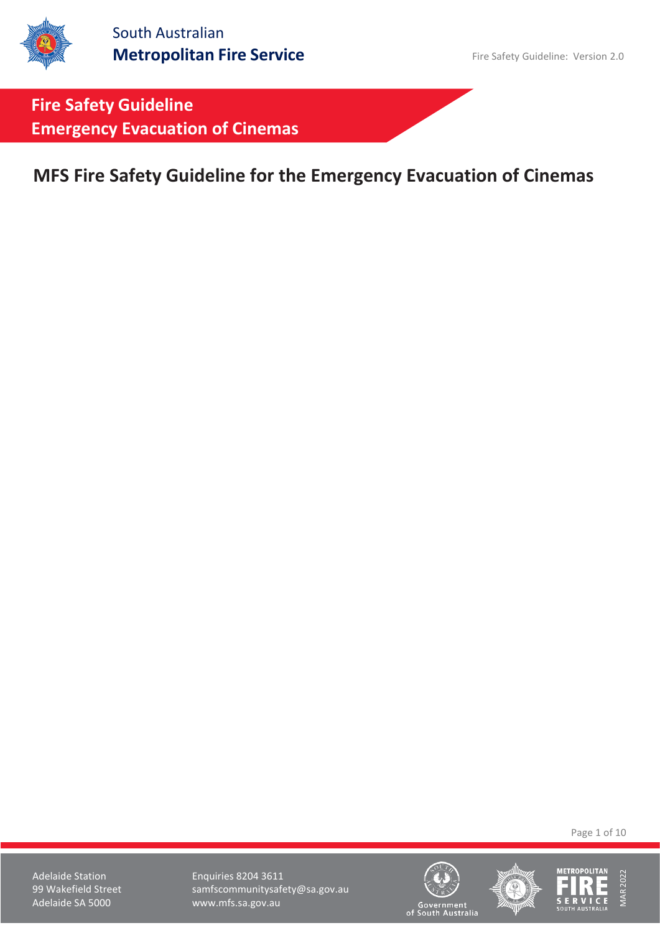# **MFS Fire Safety Guideline for the Emergency Evacuation of Cinemas**

Page 1 of 10

Adelaide Station **Enquiries 8204 3611** 99 Wakefield Street samfscommunitysafety@sa.gov.au<br>Adelaide SA 5000 www.mfs.sa.gov.au www.mfs.sa.gov.au





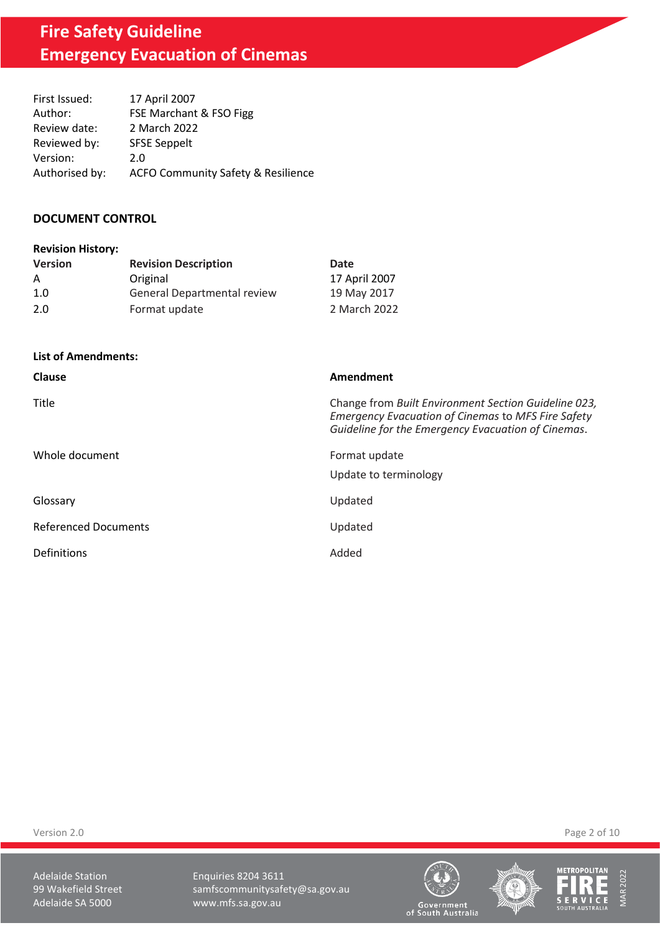| First Issued:  | 17 April 2007                                 |
|----------------|-----------------------------------------------|
| Author:        | FSE Marchant & FSO Figg                       |
| Review date:   | 2 March 2022                                  |
| Reviewed by:   | <b>SFSE Seppelt</b>                           |
| Version:       | 2.0                                           |
| Authorised by: | <b>ACFO Community Safety &amp; Resilience</b> |

#### **DOCUMENT CONTROL**

| <b>Revision History:</b> |                                    |               |
|--------------------------|------------------------------------|---------------|
| <b>Version</b>           | <b>Revision Description</b>        | Date          |
| A                        | Original                           | 17 April 2007 |
| 1.0                      | <b>General Departmental review</b> | 19 May 2017   |
| 2.0                      | Format update                      | 2 March 2022  |

**List of Amendments:**

| Clause                      | Amendment                                                                                                                                                               |
|-----------------------------|-------------------------------------------------------------------------------------------------------------------------------------------------------------------------|
| Title                       | Change from Built Environment Section Guideline 023,<br><b>Emergency Evacuation of Cinemas to MFS Fire Safety</b><br>Guideline for the Emergency Evacuation of Cinemas. |
| Whole document              | Format update<br>Update to terminology                                                                                                                                  |
| Glossary                    | Updated                                                                                                                                                                 |
| <b>Referenced Documents</b> | Updated                                                                                                                                                                 |
| Definitions                 | Added                                                                                                                                                                   |

Version 2.0 Page 2 of 10

Adelaide Station **Enquiries 8204 3611** 99 Wakefield Street samfscommunitysafety@sa.gov.au<br>Adelaide SA 5000 www.mfs.sa.gov.au www.mfs.sa.gov.au





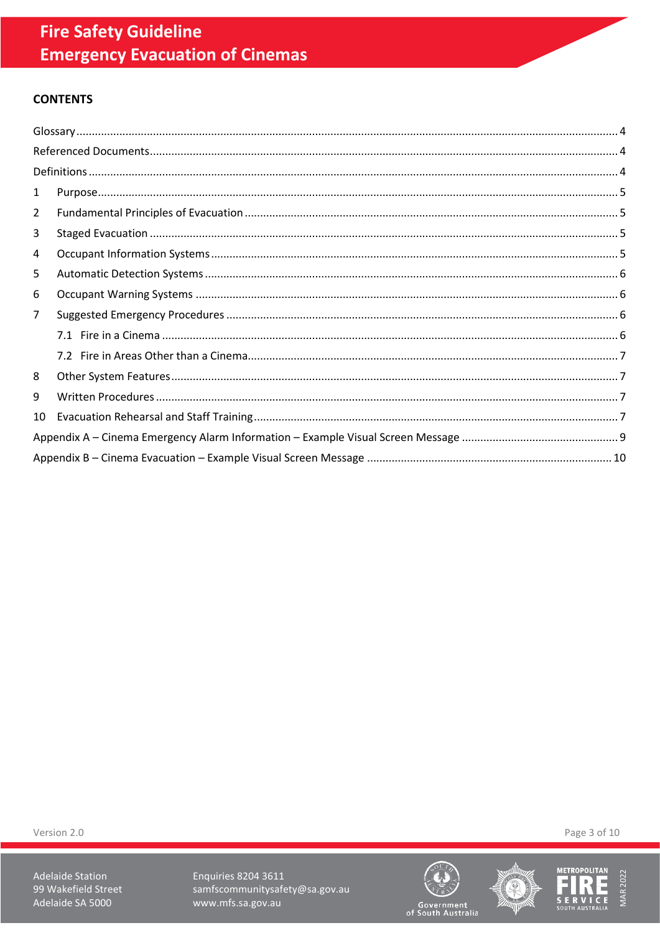# **CONTENTS**

| 1              |  |
|----------------|--|
| $\overline{2}$ |  |
| 3              |  |
| 4              |  |
| 5              |  |
| 6              |  |
| $\overline{7}$ |  |
|                |  |
|                |  |
| 8              |  |
| 9              |  |
| 10             |  |
|                |  |
|                |  |

Version 2.0

Adelaide Station 99 Wakefield Street Adelaide SA 5000

Enquiries 8204 3611 samfscommunitysafety@sa.gov.au www.mfs.sa.gov.au







Page 3 of 10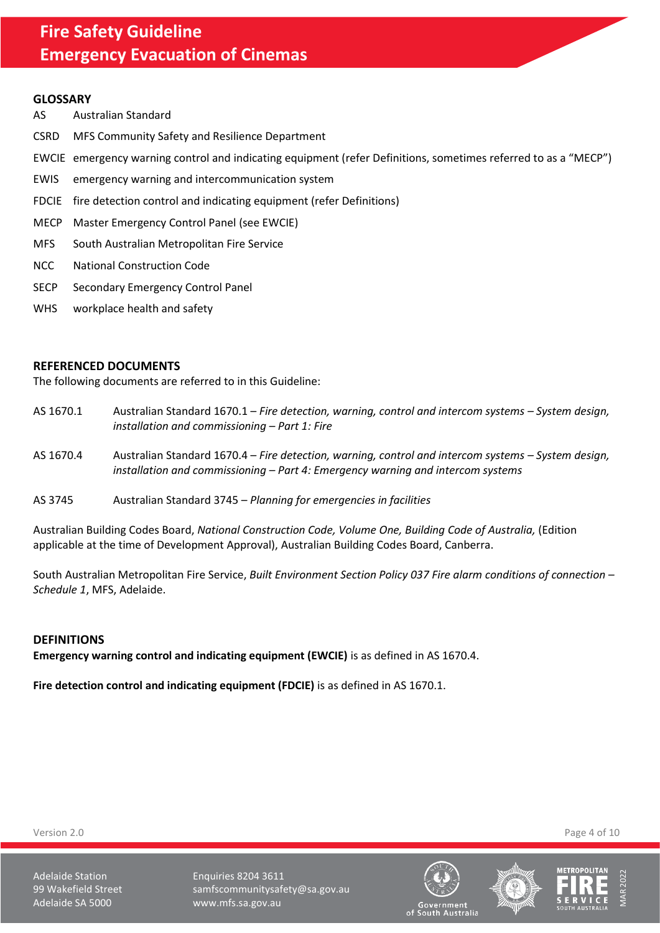#### <span id="page-3-0"></span>**GLOSSARY**

- AS Australian Standard
- CSRD MFS Community Safety and Resilience Department
- EWCIE emergency warning control and indicating equipment (refer Definitions, sometimes referred to as a "MECP")
- EWIS emergency warning and intercommunication system
- FDCIE fire detection control and indicating equipment (refer Definitions)
- MECP Master Emergency Control Panel (see EWCIE)
- MFS South Australian Metropolitan Fire Service
- NCC National Construction Code
- SECP Secondary Emergency Control Panel
- WHS workplace health and safety

#### <span id="page-3-1"></span>**REFERENCED DOCUMENTS**

The following documents are referred to in this Guideline:

- AS 1670.1 Australian Standard 1670.1 *Fire detection, warning, control and intercom systems System design, installation and commissioning – Part 1: Fire*
- AS 1670.4 Australian Standard 1670.4 *Fire detection, warning, control and intercom systems – System design, installation and commissioning – Part 4: Emergency warning and intercom systems*
- AS 3745 Australian Standard 3745 *Planning for emergencies in facilities*

Australian Building Codes Board, *National Construction Code, Volume One, Building Code of Australia,* (Edition applicable at the time of Development Approval), Australian Building Codes Board, Canberra.

South Australian Metropolitan Fire Service, *Built Environment Section Policy 037 Fire alarm conditions of connection – Schedule 1*, MFS, Adelaide.

#### <span id="page-3-2"></span>**DEFINITIONS**

**Emergency warning control and indicating equipment (EWCIE)** is as defined in AS 1670.4.

**Fire detection control and indicating equipment (FDCIE)** is as defined in AS 1670.1.

Version 2.0 Page 4 of 10

Adelaide Station **Enquiries 8204 3611** 99 Wakefield Street samfscommunitysafety@sa.gov.au Adelaide SA 5000 www.mfs.sa.gov.au





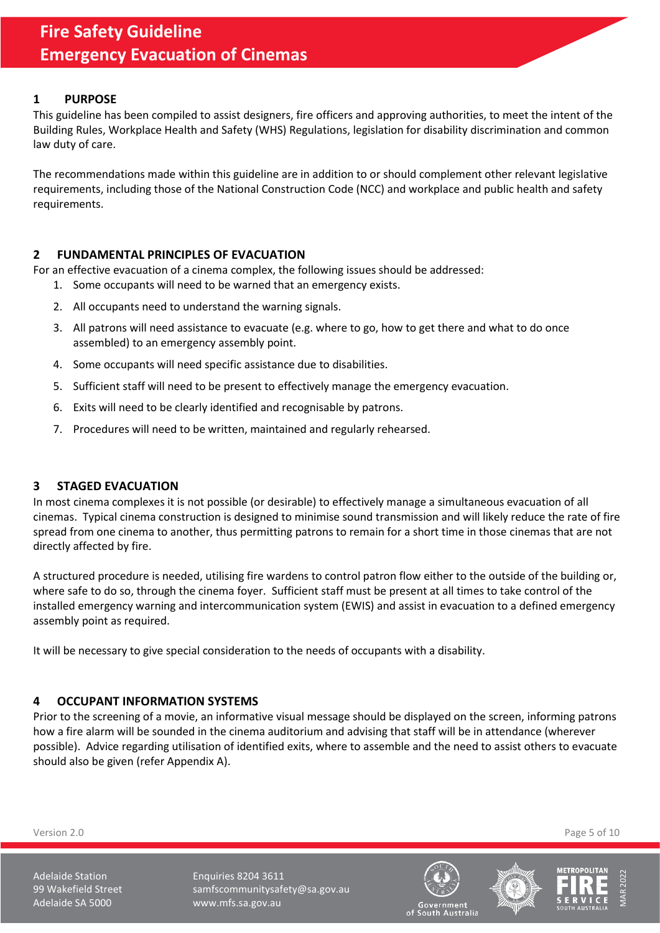## <span id="page-4-0"></span>**1 PURPOSE**

This guideline has been compiled to assist designers, fire officers and approving authorities, to meet the intent of the Building Rules, Workplace Health and Safety (WHS) Regulations, legislation for disability discrimination and common law duty of care.

The recommendations made within this guideline are in addition to or should complement other relevant legislative requirements, including those of the National Construction Code (NCC) and workplace and public health and safety requirements.

## <span id="page-4-1"></span>**2 FUNDAMENTAL PRINCIPLES OF EVACUATION**

For an effective evacuation of a cinema complex, the following issues should be addressed:

- 1. Some occupants will need to be warned that an emergency exists.
- 2. All occupants need to understand the warning signals.
- 3. All patrons will need assistance to evacuate (e.g. where to go, how to get there and what to do once assembled) to an emergency assembly point.
- 4. Some occupants will need specific assistance due to disabilities.
- 5. Sufficient staff will need to be present to effectively manage the emergency evacuation.
- 6. Exits will need to be clearly identified and recognisable by patrons.
- 7. Procedures will need to be written, maintained and regularly rehearsed.

#### <span id="page-4-2"></span>**3 STAGED EVACUATION**

In most cinema complexes it is not possible (or desirable) to effectively manage a simultaneous evacuation of all cinemas. Typical cinema construction is designed to minimise sound transmission and will likely reduce the rate of fire spread from one cinema to another, thus permitting patrons to remain for a short time in those cinemas that are not directly affected by fire.

A structured procedure is needed, utilising fire wardens to control patron flow either to the outside of the building or, where safe to do so, through the cinema foyer. Sufficient staff must be present at all times to take control of the installed emergency warning and intercommunication system (EWIS) and assist in evacuation to a defined emergency assembly point as required.

It will be necessary to give special consideration to the needs of occupants with a disability.

#### <span id="page-4-3"></span>**4 OCCUPANT INFORMATION SYSTEMS**

Prior to the screening of a movie, an informative visual message should be displayed on the screen, informing patrons how a fire alarm will be sounded in the cinema auditorium and advising that staff will be in attendance (wherever possible). Advice regarding utilisation of identified exits, where to assemble and the need to assist others to evacuate should also be given (refer Appendix A).

Version 2.0 Page 5 of 10

Adelaide Station **Enquiries 8204 3611** 99 Wakefield Street samfscommunitysafety@sa.gov.au Adelaide SA 5000 www.mfs.sa.gov.au





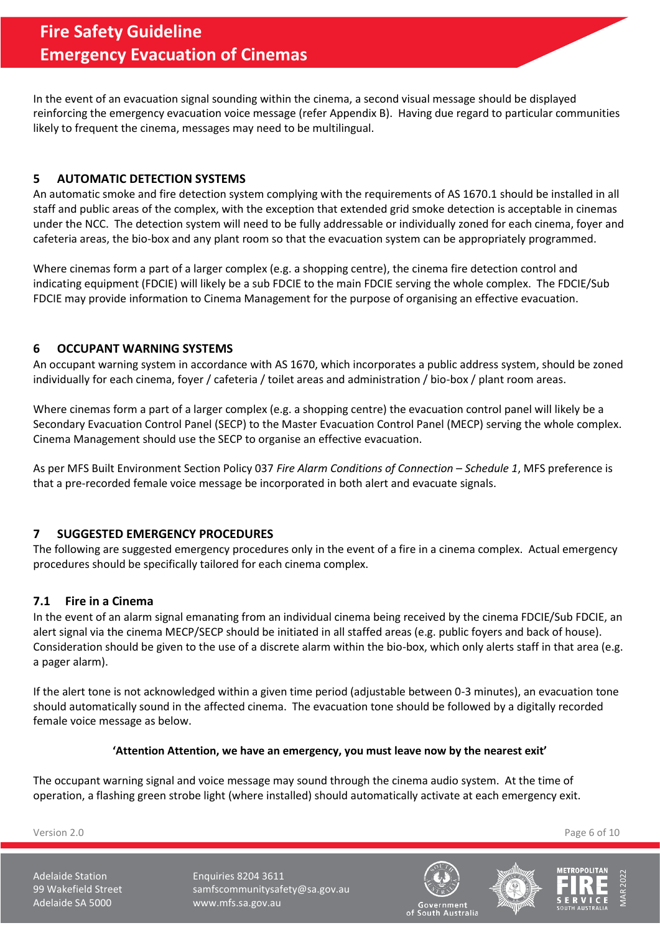In the event of an evacuation signal sounding within the cinema, a second visual message should be displayed reinforcing the emergency evacuation voice message (refer Appendix B). Having due regard to particular communities likely to frequent the cinema, messages may need to be multilingual.

## <span id="page-5-0"></span>**5 AUTOMATIC DETECTION SYSTEMS**

An automatic smoke and fire detection system complying with the requirements of AS 1670.1 should be installed in all staff and public areas of the complex, with the exception that extended grid smoke detection is acceptable in cinemas under the NCC. The detection system will need to be fully addressable or individually zoned for each cinema, foyer and cafeteria areas, the bio-box and any plant room so that the evacuation system can be appropriately programmed.

Where cinemas form a part of a larger complex (e.g. a shopping centre), the cinema fire detection control and indicating equipment (FDCIE) will likely be a sub FDCIE to the main FDCIE serving the whole complex. The FDCIE/Sub FDCIE may provide information to Cinema Management for the purpose of organising an effective evacuation.

## <span id="page-5-1"></span>**6 OCCUPANT WARNING SYSTEMS**

An occupant warning system in accordance with AS 1670, which incorporates a public address system, should be zoned individually for each cinema, foyer / cafeteria / toilet areas and administration / bio-box / plant room areas.

Where cinemas form a part of a larger complex (e.g. a shopping centre) the evacuation control panel will likely be a Secondary Evacuation Control Panel (SECP) to the Master Evacuation Control Panel (MECP) serving the whole complex. Cinema Management should use the SECP to organise an effective evacuation.

As per MFS Built Environment Section Policy 037 *Fire Alarm Conditions of Connection – Schedule 1*, MFS preference is that a pre-recorded female voice message be incorporated in both alert and evacuate signals.

# <span id="page-5-2"></span>**7 SUGGESTED EMERGENCY PROCEDURES**

The following are suggested emergency procedures only in the event of a fire in a cinema complex. Actual emergency procedures should be specifically tailored for each cinema complex.

#### <span id="page-5-3"></span>**7.1 Fire in a Cinema**

In the event of an alarm signal emanating from an individual cinema being received by the cinema FDCIE/Sub FDCIE, an alert signal via the cinema MECP/SECP should be initiated in all staffed areas (e.g. public foyers and back of house). Consideration should be given to the use of a discrete alarm within the bio-box, which only alerts staff in that area (e.g. a pager alarm).

If the alert tone is not acknowledged within a given time period (adjustable between 0-3 minutes), an evacuation tone should automatically sound in the affected cinema. The evacuation tone should be followed by a digitally recorded female voice message as below.

#### **'Attention Attention, we have an emergency, you must leave now by the nearest exit'**

The occupant warning signal and voice message may sound through the cinema audio system. At the time of operation, a flashing green strobe light (where installed) should automatically activate at each emergency exit.

Version 2.0 Page 6 of 10

Adelaide Station **Enquiries 8204 3611** 99 Wakefield Street samfscommunitysafety@sa.gov.au Adelaide SA 5000 www.mfs.sa.gov.au





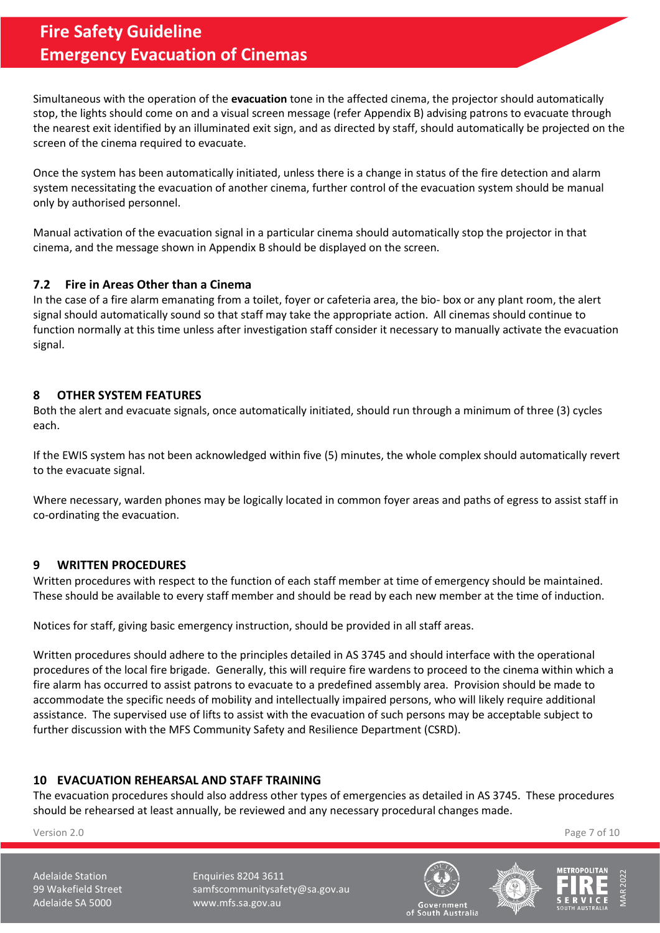Simultaneous with the operation of the **evacuation** tone in the affected cinema, the projector should automatically stop, the lights should come on and a visual screen message (refer Appendix B) advising patrons to evacuate through the nearest exit identified by an illuminated exit sign, and as directed by staff, should automatically be projected on the screen of the cinema required to evacuate.

Once the system has been automatically initiated, unless there is a change in status of the fire detection and alarm system necessitating the evacuation of another cinema, further control of the evacuation system should be manual only by authorised personnel.

Manual activation of the evacuation signal in a particular cinema should automatically stop the projector in that cinema, and the message shown in Appendix B should be displayed on the screen.

## <span id="page-6-0"></span>**7.2 Fire in Areas Other than a Cinema**

In the case of a fire alarm emanating from a toilet, foyer or cafeteria area, the bio- box or any plant room, the alert signal should automatically sound so that staff may take the appropriate action. All cinemas should continue to function normally at this time unless after investigation staff consider it necessary to manually activate the evacuation signal.

## <span id="page-6-1"></span>**8 OTHER SYSTEM FEATURES**

Both the alert and evacuate signals, once automatically initiated, should run through a minimum of three (3) cycles each.

If the EWIS system has not been acknowledged within five (5) minutes, the whole complex should automatically revert to the evacuate signal.

Where necessary, warden phones may be logically located in common foyer areas and paths of egress to assist staff in co-ordinating the evacuation.

#### <span id="page-6-2"></span>**9 WRITTEN PROCEDURES**

Written procedures with respect to the function of each staff member at time of emergency should be maintained. These should be available to every staff member and should be read by each new member at the time of induction.

Notices for staff, giving basic emergency instruction, should be provided in all staff areas.

Written procedures should adhere to the principles detailed in AS 3745 and should interface with the operational procedures of the local fire brigade. Generally, this will require fire wardens to proceed to the cinema within which a fire alarm has occurred to assist patrons to evacuate to a predefined assembly area. Provision should be made to accommodate the specific needs of mobility and intellectually impaired persons, who will likely require additional assistance. The supervised use of lifts to assist with the evacuation of such persons may be acceptable subject to further discussion with the MFS Community Safety and Resilience Department (CSRD).

# <span id="page-6-3"></span>**10 EVACUATION REHEARSAL AND STAFF TRAINING**

The evacuation procedures should also address other types of emergencies as detailed in AS 3745. These procedures should be rehearsed at least annually, be reviewed and any necessary procedural changes made.

Version 2.0 Page 7 of 10

Adelaide Station **Enquiries 8204 3611** 99 Wakefield Street samfscommunitysafety@sa.gov.au Adelaide SA 5000 www.mfs.sa.gov.au





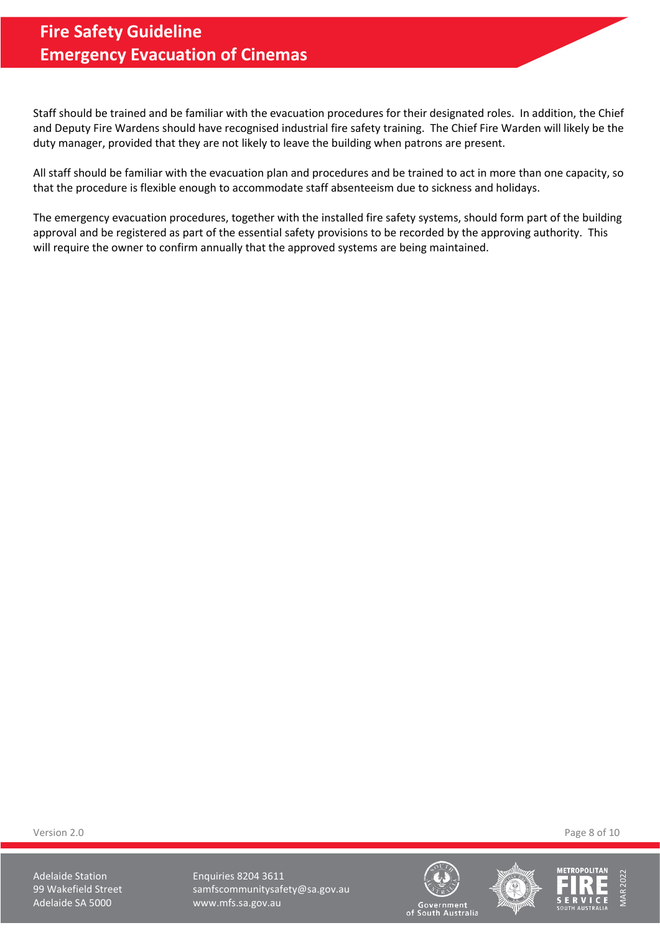Staff should be trained and be familiar with the evacuation procedures for their designated roles. In addition, the Chief and Deputy Fire Wardens should have recognised industrial fire safety training. The Chief Fire Warden will likely be the duty manager, provided that they are not likely to leave the building when patrons are present.

All staff should be familiar with the evacuation plan and procedures and be trained to act in more than one capacity, so that the procedure is flexible enough to accommodate staff absenteeism due to sickness and holidays.

The emergency evacuation procedures, together with the installed fire safety systems, should form part of the building approval and be registered as part of the essential safety provisions to be recorded by the approving authority. This will require the owner to confirm annually that the approved systems are being maintained.

Version 2.0 Page 8 of 10

Adelaide Station **Enquiries 8204 3611** 99 Wakefield Street samfscommunitysafety@sa.gov.au Adelaide SA 5000 www.mfs.sa.gov.au







MAR 2022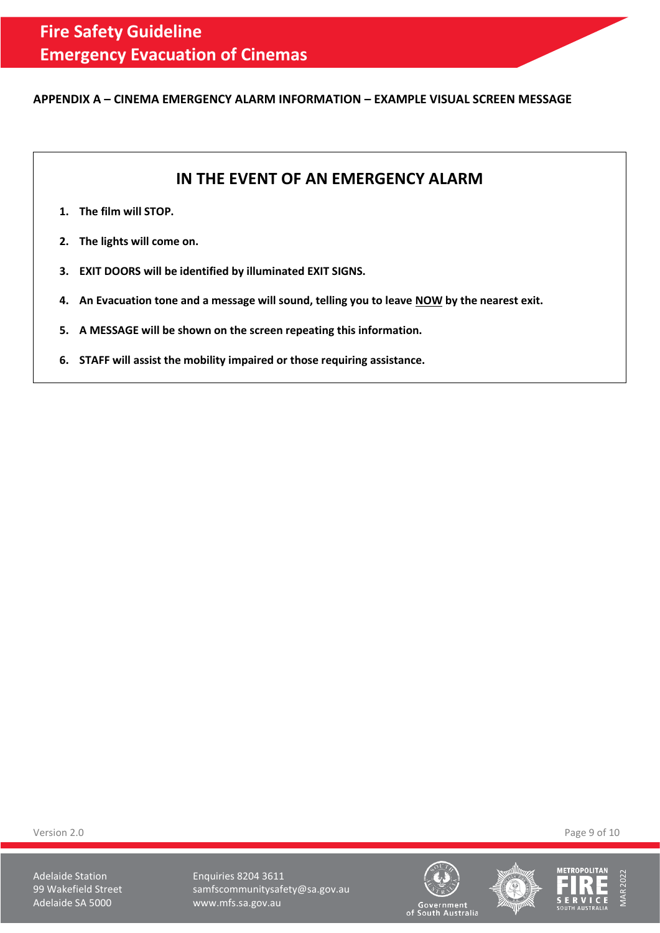#### <span id="page-8-0"></span>**APPENDIX A – CINEMA EMERGENCY ALARM INFORMATION – EXAMPLE VISUAL SCREEN MESSAGE**

# **IN THE EVENT OF AN EMERGENCY ALARM**

- **1. The film will STOP.**
- **2. The lights will come on.**
- **3. EXIT DOORS will be identified by illuminated EXIT SIGNS.**
- **4. An Evacuation tone and a message will sound, telling you to leave NOW by the nearest exit.**
- **5. A MESSAGE will be shown on the screen repeating this information.**
- **6. STAFF will assist the mobility impaired or those requiring assistance.**

Version 2.0 Page 9 of 10

Adelaide Station **Enquiries 8204 3611** 99 Wakefield Street samfscommunitysafety@sa.gov.au Adelaide SA 5000 www.mfs.sa.gov.au